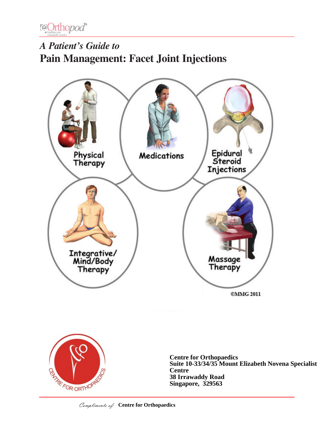

# *A Patient's Guide to* **Pain Management: Facet Joint Injections**





**Centre for Orthopaedics Suite 10-33/34/35 Mount Elizabeth Novena Specialist Centre 38 Irrawaddy Road Singapore, 329563**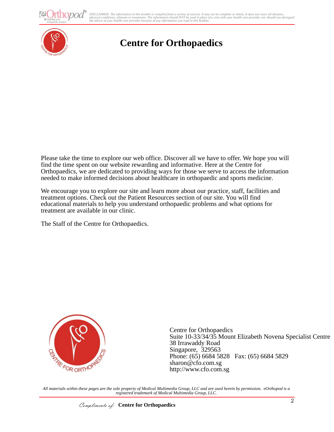thopod<sup>®</sup>

DISCLAIMER: The information in this booklet is compiled from a variety of sources. It may not be complete or timely. It does not cover all diseases,<br>physical conditions, ailments or treatments. The information yould NOT be



## **Centre for Orthopaedics**

Please take the time to explore our web office. Discover all we have to offer. We hope you will find the time spent on our website rewarding and informative. Here at the Centre for Orthopaedics, we are dedicated to providing ways for those we serve to access the information needed to make informed decisions about healthcare in orthopaedic and sports medicine.

We encourage you to explore our site and learn more about our practice, staff, facilities and treatment options. Check out the Patient Resources section of our site. You will find educational materials to help you understand orthopaedic problems and what options for treatment are available in our clinic.

The Staff of the Centre for Orthopaedics.



Centre for Orthopaedics Suite 10-33/34/35 Mount Elizabeth Novena Specialist Centre 38 Irrawaddy Road Singapore, 329563 Phone: (65) 6684 5828 Fax: (65) 6684 5829 sharon@cfo.com.sg http://www.cfo.com.sg

*All materials within these pages are the sole property of Medical Multimedia Group, LLC and are used herein by permission. eOrthopod is a registered trademark of Medical Multimedia Group, LLC.*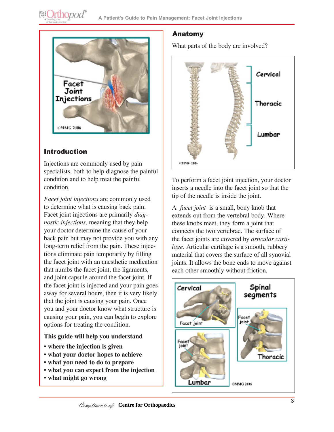

## Introduction

Injections are commonly used by pain specialists, both to help diagnose the painful condition and to help treat the painful condition.

*Facet joint injections* are commonly used to determine what is causing back pain. Facet joint injections are primarily *diagnostic injections*, meaning that they help your doctor determine the cause of your back pain but may not provide you with any long-term relief from the pain. These injections eliminate pain temporarily by filling the facet joint with an anesthetic medication that numbs the facet joint, the ligaments, and joint capsule around the facet joint. If the facet joint is injected and your pain goes away for several hours, then it is very likely that the joint is causing your pain. Once you and your doctor know what structure is causing your pain, you can begin to explore options for treating the condition.

#### **This guide will help you understand**

- **where the injection is given**
- **what your doctor hopes to achieve**
- **what you need to do to prepare**
- **what you can expect from the injection**
- **what might go wrong**

## Anatomy

What parts of the body are involved?



To perform a facet joint injection, your doctor inserts a needle into the facet joint so that the tip of the needle is inside the joint.

A *facet joint* is a small, bony knob that extends out from the vertebral body. Where these knobs meet, they form a joint that connects the two vertebrae. The surface of the facet joints are covered by *articular cartilage*. Articular cartilage is a smooth, rubbery material that covers the surface of all synovial joints. It allows the bone ends to move against each other smoothly without friction.

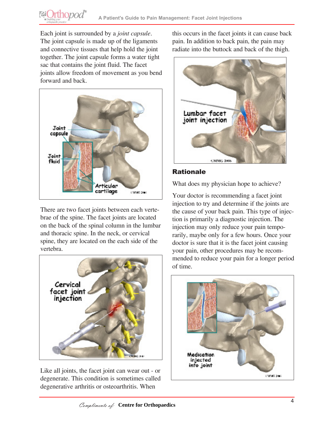Each joint is surrounded by a *joint capsule*. The joint capsule is made up of the ligaments and connective tissues that help hold the joint together. The joint capsule forms a water tight sac that contains the joint fluid. The facet joints allow freedom of movement as you bend forward and back.

**@Orthopod**®



There are two facet joints between each vertebrae of the spine. The facet joints are located on the back of the spinal column in the lumbar and thoracic spine. In the neck, or cervical spine, they are located on the each side of the vertebra.



Like all joints, the facet joint can wear out - or degenerate. This condition is sometimes called degenerative arthritis or osteoarthritis. When

this occurs in the facet joints it can cause back pain. In addition to back pain, the pain may radiate into the buttock and back of the thigh.



#### Rationale

What does my physician hope to achieve?

Your doctor is recommending a facet joint injection to try and determine if the joints are the cause of your back pain. This type of injection is primarily a diagnostic injection. The injection may only reduce your pain temporarily, maybe only for a few hours. Once your doctor is sure that it is the facet joint causing your pain, other procedures may be recommended to reduce your pain for a longer period of time.

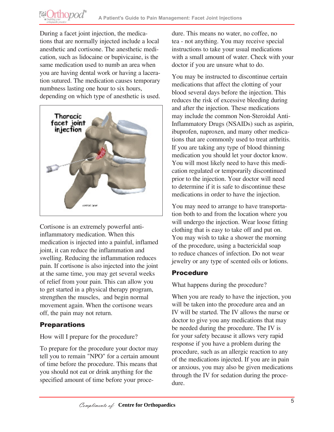During a facet joint injection, the medications that are normally injected include a local anesthetic and cortisone. The anesthetic medication, such as lidocaine or bupivicaine, is the same medication used to numb an area when you are having dental work or having a laceration sutured. The medication causes temporary numbness lasting one hour to six hours, depending on which type of anesthetic is used.

**@Orthopod®** 



Cortisone is an extremely powerful antiinflammatory medication. When this medication is injected into a painful, inflamed joint, it can reduce the inflammation and swelling. Reducing the inflammation reduces pain. If cortisone is also injected into the joint at the same time, you may get several weeks of relief from your pain. This can allow you to get started in a physical therapy program, strengthen the muscles, and begin normal movement again. When the cortisone wears off, the pain may not return.

#### **Preparations**

How will I prepare for the procedure?

To prepare for the procedure your doctor may tell you to remain "NPO" for a certain amount of time before the procedure. This means that you should not eat or drink anything for the specified amount of time before your procedure. This means no water, no coffee, no tea - not anything. You may receive special instructions to take your usual medications with a small amount of water. Check with your doctor if you are unsure what to do.

You may be instructed to discontinue certain medications that affect the clotting of your blood several days before the injection. This reduces the risk of excessive bleeding during and after the injection. These medications may include the common Non-Steroidal Anti-Inflammatory Drugs (NSAIDs) such as aspirin, ibuprofen, naproxen, and many other medications that are commonly used to treat arthritis. If you are taking any type of blood thinning medication you should let your doctor know. You will most likely need to have this medication regulated or temporarily discontinued prior to the injection. Your doctor will need to determine if it is safe to discontinue these medications in order to have the injection.

You may need to arrange to have transportation both to and from the location where you will undergo the injection. Wear loose fitting clothing that is easy to take off and put on. You may wish to take a shower the morning of the procedure, using a bactericidal soap to reduce chances of infection. Do not wear jewelry or any type of scented oils or lotions.

## Procedure

What happens during the procedure?

When you are ready to have the injection, you will be taken into the procedure area and an IV will be started. The IV allows the nurse or doctor to give you any medications that may be needed during the procedure. The IV is for your safety because it allows very rapid response if you have a problem during the procedure, such as an allergic reaction to any of the medications injected. If you are in pain or anxious, you may also be given medications through the IV for sedation during the procedure.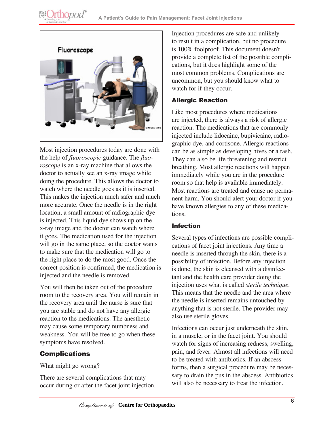



Most injection procedures today are done with the help of *fluoroscopic* guidance. The *fluoroscope* is an x-ray machine that allows the doctor to actually see an x-ray image while doing the procedure. This allows the doctor to watch where the needle goes as it is inserted. This makes the injection much safer and much more accurate. Once the needle is in the right location, a small amount of radiographic dye is injected. This liquid dye shows up on the x-ray image and the doctor can watch where it goes. The medication used for the injection will go in the same place, so the doctor wants to make sure that the medication will go to the right place to do the most good. Once the correct position is confirmed, the medication is injected and the needle is removed.

You will then be taken out of the procedure room to the recovery area. You will remain in the recovery area until the nurse is sure that you are stable and do not have any allergic reaction to the medications. The anesthetic may cause some temporary numbness and weakness. You will be free to go when these symptoms have resolved.

#### Complications

What might go wrong?

There are several complications that may occur during or after the facet joint injection. Injection procedures are safe and unlikely to result in a complication, but no procedure is 100% foolproof. This document doesn't provide a complete list of the possible complications, but it does highlight some of the most common problems. Complications are uncommon, but you should know what to watch for if they occur.

#### Allergic Reaction

Like most procedures where medications are injected, there is always a risk of allergic reaction. The medications that are commonly injected include lidocaine, bupivicaine, radiographic dye, and cortisone. Allergic reactions can be as simple as developing hives or a rash. They can also be life threatening and restrict breathing. Most allergic reactions will happen immediately while you are in the procedure room so that help is available immediately. Most reactions are treated and cause no permanent harm. You should alert your doctor if you have known allergies to any of these medications.

#### Infection

Several types of infections are possible complications of facet joint injections. Any time a needle is inserted through the skin, there is a possibility of infection. Before any injection is done, the skin is cleansed with a disinfectant and the health care provider doing the injection uses what is called *sterile technique*. This means that the needle and the area where the needle is inserted remains untouched by anything that is not sterile. The provider may also use sterile gloves.

Infections can occur just underneath the skin, in a muscle, or in the facet joint. You should watch for signs of increasing redness, swelling, pain, and fever. Almost all infections will need to be treated with antibiotics. If an abscess forms, then a surgical procedure may be necessary to drain the pus in the abscess. Antibiotics will also be necessary to treat the infection.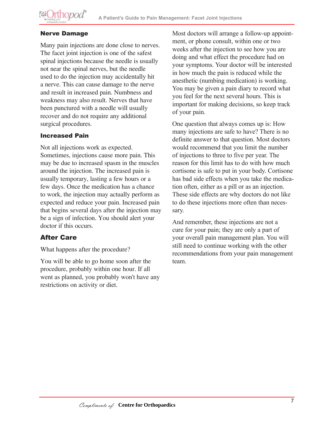

#### Nerve Damage

Many pain injections are done close to nerves. The facet joint injection is one of the safest spinal injections because the needle is usually not near the spinal nerves, but the needle used to do the injection may accidentally hit a nerve. This can cause damage to the nerve and result in increased pain. Numbness and weakness may also result. Nerves that have been punctured with a needle will usually recover and do not require any additional surgical procedures.

#### Increased Pain

Not all injections work as expected. Sometimes, injections cause more pain. This may be due to increased spasm in the muscles around the injection. The increased pain is usually temporary, lasting a few hours or a few days. Once the medication has a chance to work, the injection may actually perform as expected and reduce your pain. Increased pain that begins several days after the injection may be a sign of infection. You should alert your doctor if this occurs.

#### After Care

What happens after the procedure?

You will be able to go home soon after the procedure, probably within one hour. If all went as planned, you probably won't have any restrictions on activity or diet.

Most doctors will arrange a follow-up appointment, or phone consult, within one or two weeks after the injection to see how you are doing and what effect the procedure had on your symptoms. Your doctor will be interested in how much the pain is reduced while the anesthetic (numbing medication) is working. You may be given a pain diary to record what you feel for the next several hours. This is important for making decisions, so keep track of your pain.

One question that always comes up is: How many injections are safe to have? There is no definite answer to that question. Most doctors would recommend that you limit the number of injections to three to five per year. The reason for this limit has to do with how much cortisone is safe to put in your body. Cortisone has bad side effects when you take the medication often, either as a pill or as an injection. These side effects are why doctors do not like to do these injections more often than necessary.

And remember, these injections are not a cure for your pain; they are only a part of your overall pain management plan. You will still need to continue working with the other recommendations from your pain management team.